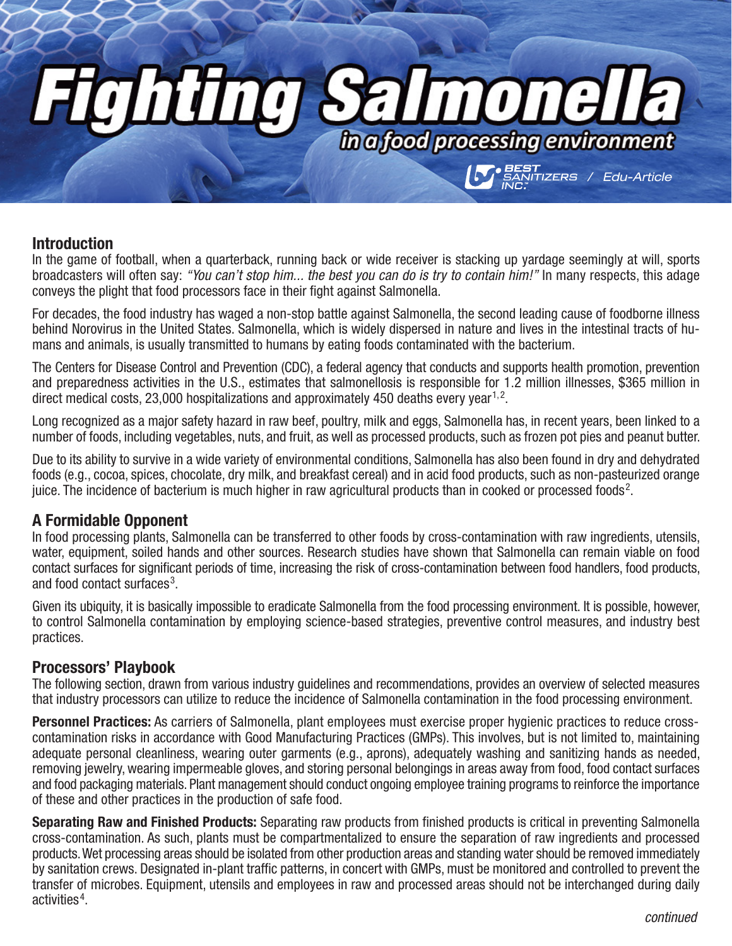# **Thima**  $\sum_{\text{the of good processing environment}}$ */ Edu-Article*

#### **Introduction**

In the game of football, when a quarterback, running back or wide receiver is stacking up yardage seemingly at will, sports broadcasters will often say: *"You can't stop him... the best you can do is try to contain him!"* In many respects, this adage conveys the plight that food processors face in their fight against Salmonella.

For decades, the food industry has waged a non-stop battle against Salmonella, the second leading cause of foodborne illness behind Norovirus in the United States. Salmonella, which is widely dispersed in nature and lives in the intestinal tracts of humans and animals, is usually transmitted to humans by eating foods contaminated with the bacterium.

The Centers for Disease Control and Prevention (CDC), a federal agency that conducts and supports health promotion, prevention and preparedness activities in the U.S., estimates that salmonellosis is responsible for 1.2 million illnesses, \$365 million in direct medical costs, 23,000 hospitalizations and approximately 450 deaths every year<sup>1,2</sup>.

Long recognized as a major safety hazard in raw beef, poultry, milk and eggs, Salmonella has, in recent years, been linked to a number of foods, including vegetables, nuts, and fruit, as well as processed products, such as frozen pot pies and peanut butter.

Due to its ability to survive in a wide variety of environmental conditions, Salmonella has also been found in dry and dehydrated foods (e.g., cocoa, spices, chocolate, dry milk, and breakfast cereal) and in acid food products, such as non-pasteurized orange juice. The incidence of bacterium is much higher in raw agricultural products than in cooked or processed foods<sup>2</sup>.

### **A Formidable Opponent**

In food processing plants, Salmonella can be transferred to other foods by cross-contamination with raw ingredients, utensils, water, equipment, soiled hands and other sources. Research studies have shown that Salmonella can remain viable on food contact surfaces for significant periods of time, increasing the risk of cross-contamination between food handlers, food products, and food contact surfaces<sup>3</sup>.

Given its ubiquity, it is basically impossible to eradicate Salmonella from the food processing environment. It is possible, however, to control Salmonella contamination by employing science-based strategies, preventive control measures, and industry best practices.

#### **Processors' Playbook**

The following section, drawn from various industry guidelines and recommendations, provides an overview of selected measures that industry processors can utilize to reduce the incidence of Salmonella contamination in the food processing environment.

**Personnel Practices:** As carriers of Salmonella, plant employees must exercise proper hygienic practices to reduce crosscontamination risks in accordance with Good Manufacturing Practices (GMPs). This involves, but is not limited to, maintaining adequate personal cleanliness, wearing outer garments (e.g., aprons), adequately washing and sanitizing hands as needed, removing jewelry, wearing impermeable gloves, and storing personal belongings in areas away from food, food contact surfaces and food packaging materials. Plant management should conduct ongoing employee training programs to reinforce the importance of these and other practices in the production of safe food.

**Separating Raw and Finished Products:** Separating raw products from finished products is critical in preventing Salmonella cross-contamination. As such, plants must be compartmentalized to ensure the separation of raw ingredients and processed products. Wet processing areas should be isolated from other production areas and standing water should be removed immediately by sanitation crews. Designated in-plant traffic patterns, in concert with GMPs, must be monitored and controlled to prevent the transfer of microbes. Equipment, utensils and employees in raw and processed areas should not be interchanged during daily activities 4 .

*continued*